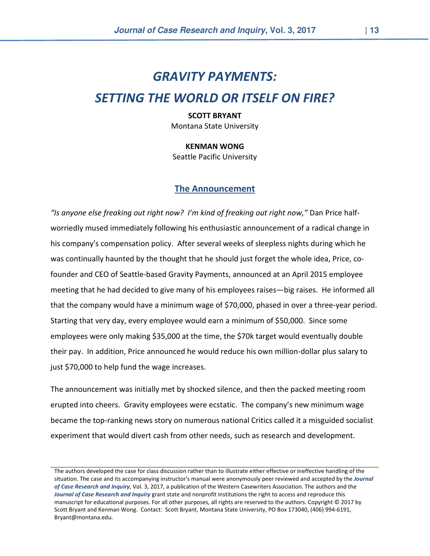# GRAVITY PAYMENTS:

## SETTING THE WORLD OR ITSELF ON FIRE?

#### SCOTT BRYANT Montana State University

KENMAN WONG

Seattle Pacific University

#### The Announcement

"Is anyone else freaking out right now? I'm kind of freaking out right now," Dan Price halfworriedly mused immediately following his enthusiastic announcement of a radical change in his company's compensation policy. After several weeks of sleepless nights during which he was continually haunted by the thought that he should just forget the whole idea, Price, cofounder and CEO of Seattle-based Gravity Payments, announced at an April 2015 employee meeting that he had decided to give many of his employees raises—big raises. He informed all that the company would have a minimum wage of \$70,000, phased in over a three-year period. Starting that very day, every employee would earn a minimum of \$50,000. Since some employees were only making \$35,000 at the time, the \$70k target would eventually double their pay. In addition, Price announced he would reduce his own million-dollar plus salary to just \$70,000 to help fund the wage increases.

The announcement was initially met by shocked silence, and then the packed meeting room erupted into cheers. Gravity employees were ecstatic. The company's new minimum wage became the top-ranking news story on numerous national Critics called it a misguided socialist experiment that would divert cash from other needs, such as research and development.

The authors developed the case for class discussion rather than to illustrate either effective or ineffective handling of the situation. The case and its accompanying instructor's manual were anonymously peer reviewed and accepted by the Journal of Case Research and Inquiry, Vol. 3, 2017, a publication of the Western Casewriters Association. The authors and the Journal of Case Research and Inquiry grant state and nonprofit institutions the right to access and reproduce this manuscript for educational purposes. For all other purposes, all rights are reserved to the authors. Copyright © 2017 by Scott Bryant and Kenman Wong. Contact: Scott Bryant, Montana State University, PO Box 173040, (406) 994-6191, Bryant@montana.edu.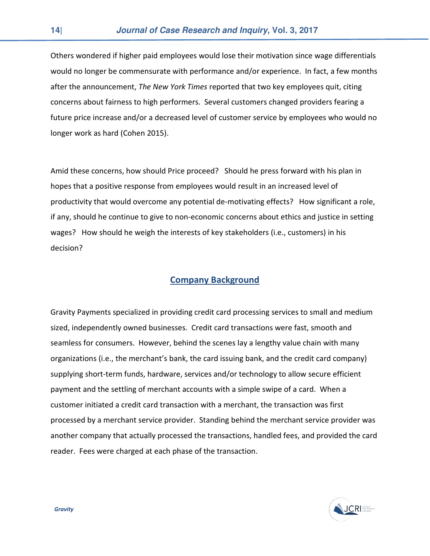Others wondered if higher paid employees would lose their motivation since wage differentials would no longer be commensurate with performance and/or experience. In fact, a few months after the announcement, The New York Times reported that two key employees quit, citing concerns about fairness to high performers. Several customers changed providers fearing a future price increase and/or a decreased level of customer service by employees who would no longer work as hard (Cohen 2015).

Amid these concerns, how should Price proceed? Should he press forward with his plan in hopes that a positive response from employees would result in an increased level of productivity that would overcome any potential de-motivating effects? How significant a role, if any, should he continue to give to non-economic concerns about ethics and justice in setting wages? How should he weigh the interests of key stakeholders (i.e., customers) in his decision?

#### Company Background

Gravity Payments specialized in providing credit card processing services to small and medium sized, independently owned businesses. Credit card transactions were fast, smooth and seamless for consumers. However, behind the scenes lay a lengthy value chain with many organizations (i.e., the merchant's bank, the card issuing bank, and the credit card company) supplying short-term funds, hardware, services and/or technology to allow secure efficient payment and the settling of merchant accounts with a simple swipe of a card. When a customer initiated a credit card transaction with a merchant, the transaction was first processed by a merchant service provider. Standing behind the merchant service provider was another company that actually processed the transactions, handled fees, and provided the card reader. Fees were charged at each phase of the transaction.

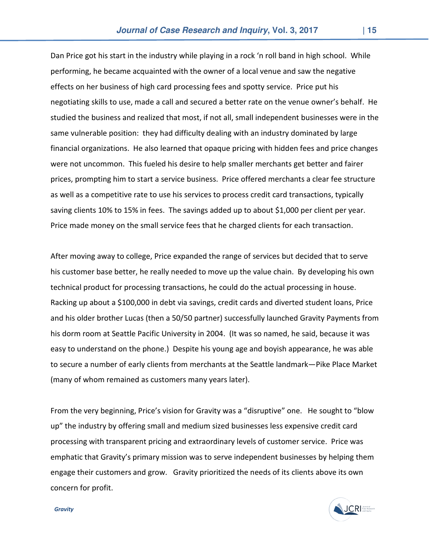Dan Price got his start in the industry while playing in a rock 'n roll band in high school. While performing, he became acquainted with the owner of a local venue and saw the negative effects on her business of high card processing fees and spotty service. Price put his negotiating skills to use, made a call and secured a better rate on the venue owner's behalf. He studied the business and realized that most, if not all, small independent businesses were in the same vulnerable position: they had difficulty dealing with an industry dominated by large financial organizations. He also learned that opaque pricing with hidden fees and price changes were not uncommon. This fueled his desire to help smaller merchants get better and fairer prices, prompting him to start a service business. Price offered merchants a clear fee structure as well as a competitive rate to use his services to process credit card transactions, typically saving clients 10% to 15% in fees. The savings added up to about \$1,000 per client per year. Price made money on the small service fees that he charged clients for each transaction.

After moving away to college, Price expanded the range of services but decided that to serve his customer base better, he really needed to move up the value chain. By developing his own technical product for processing transactions, he could do the actual processing in house. Racking up about a \$100,000 in debt via savings, credit cards and diverted student loans, Price and his older brother Lucas (then a 50/50 partner) successfully launched Gravity Payments from his dorm room at Seattle Pacific University in 2004. (It was so named, he said, because it was easy to understand on the phone.) Despite his young age and boyish appearance, he was able to secure a number of early clients from merchants at the Seattle landmark—Pike Place Market (many of whom remained as customers many years later).

From the very beginning, Price's vision for Gravity was a "disruptive" one. He sought to "blow up" the industry by offering small and medium sized businesses less expensive credit card processing with transparent pricing and extraordinary levels of customer service. Price was emphatic that Gravity's primary mission was to serve independent businesses by helping them engage their customers and grow. Gravity prioritized the needs of its clients above its own concern for profit.



**Gravity**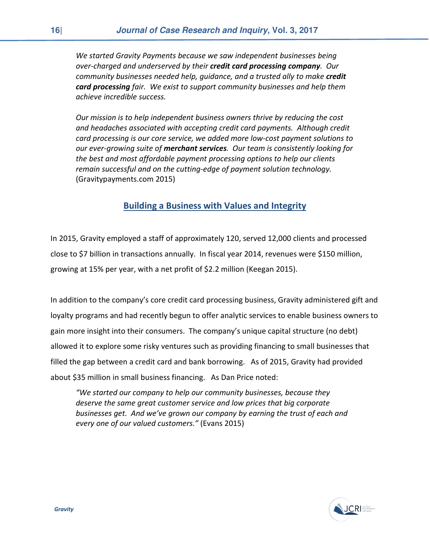We started Gravity Payments because we saw independent businesses being over-charged and underserved by their credit card processing company. Our community businesses needed help, guidance, and a trusted ally to make credit **card processing** fair. We exist to support community businesses and help them achieve incredible success.

Our mission is to help independent business owners thrive by reducing the cost and headaches associated with accepting credit card payments. Although credit card processing is our core service, we added more low-cost payment solutions to our ever-growing suite of merchant services. Our team is consistently looking for the best and most affordable payment processing options to help our clients remain successful and on the cutting-edge of payment solution technology. (Gravitypayments.com 2015)

#### Building a Business with Values and Integrity

In 2015, Gravity employed a staff of approximately 120, served 12,000 clients and processed close to \$7 billion in transactions annually. In fiscal year 2014, revenues were \$150 million, growing at 15% per year, with a net profit of \$2.2 million (Keegan 2015).

In addition to the company's core credit card processing business, Gravity administered gift and loyalty programs and had recently begun to offer analytic services to enable business owners to gain more insight into their consumers. The company's unique capital structure (no debt) allowed it to explore some risky ventures such as providing financing to small businesses that filled the gap between a credit card and bank borrowing. As of 2015, Gravity had provided about \$35 million in small business financing. As Dan Price noted:

"We started our company to help our community businesses, because they deserve the same great customer service and low prices that big corporate businesses get. And we've grown our company by earning the trust of each and every one of our valued customers." (Evans 2015)

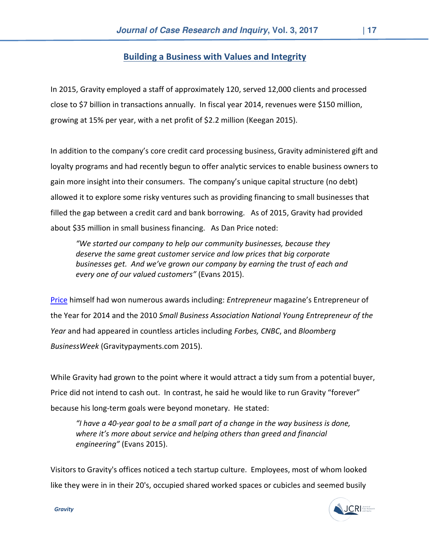#### Building a Business with Values and Integrity

In 2015, Gravity employed a staff of approximately 120, served 12,000 clients and processed close to \$7 billion in transactions annually. In fiscal year 2014, revenues were \$150 million, growing at 15% per year, with a net profit of \$2.2 million (Keegan 2015).

In addition to the company's core credit card processing business, Gravity administered gift and loyalty programs and had recently begun to offer analytic services to enable business owners to gain more insight into their consumers. The company's unique capital structure (no debt) allowed it to explore some risky ventures such as providing financing to small businesses that filled the gap between a credit card and bank borrowing. As of 2015, Gravity had provided about \$35 million in small business financing. As Dan Price noted:

"We started our company to help our community businesses, because they deserve the same great customer service and low prices that big corporate businesses get. And we've grown our company by earning the trust of each and every one of our valued customers" (Evans 2015).

Price himself had won numerous awards including: Entrepreneur magazine's Entrepreneur of the Year for 2014 and the 2010 Small Business Association National Young Entrepreneur of the Year and had appeared in countless articles including Forbes, CNBC, and Bloomberg BusinessWeek (Gravitypayments.com 2015).

While Gravity had grown to the point where it would attract a tidy sum from a potential buyer, Price did not intend to cash out. In contrast, he said he would like to run Gravity "forever" because his long-term goals were beyond monetary. He stated:

"I have a 40-year goal to be a small part of a change in the way business is done, where it's more about service and helping others than greed and financial engineering" (Evans 2015).

Visitors to Gravity's offices noticed a tech startup culture. Employees, most of whom looked like they were in in their 20's, occupied shared worked spaces or cubicles and seemed busily



**Gravity**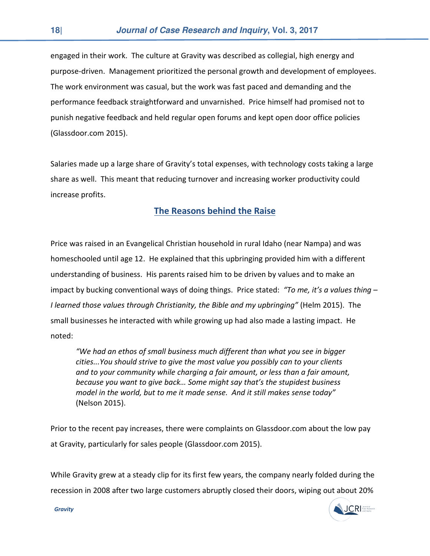engaged in their work. The culture at Gravity was described as collegial, high energy and purpose-driven. Management prioritized the personal growth and development of employees. The work environment was casual, but the work was fast paced and demanding and the performance feedback straightforward and unvarnished. Price himself had promised not to punish negative feedback and held regular open forums and kept open door office policies (Glassdoor.com 2015).

Salaries made up a large share of Gravity's total expenses, with technology costs taking a large share as well. This meant that reducing turnover and increasing worker productivity could increase profits.

#### The Reasons behind the Raise

Price was raised in an Evangelical Christian household in rural Idaho (near Nampa) and was homeschooled until age 12. He explained that this upbringing provided him with a different understanding of business. His parents raised him to be driven by values and to make an impact by bucking conventional ways of doing things. Price stated: "To me, it's a values thing  $-$ I learned those values through Christianity, the Bible and my upbringing" (Helm 2015). The small businesses he interacted with while growing up had also made a lasting impact. He noted:

"We had an ethos of small business much different than what you see in bigger cities...You should strive to give the most value you possibly can to your clients and to your community while charging a fair amount, or less than a fair amount, because you want to give back… Some might say that's the stupidest business model in the world, but to me it made sense. And it still makes sense today" (Nelson 2015).

Prior to the recent pay increases, there were complaints on Glassdoor.com about the low pay at Gravity, particularly for sales people (Glassdoor.com 2015).

While Gravity grew at a steady clip for its first few years, the company nearly folded during the recession in 2008 after two large customers abruptly closed their doors, wiping out about 20%

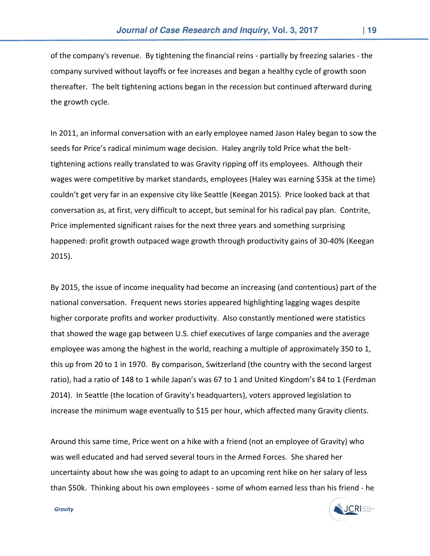of the company's revenue. By tightening the financial reins - partially by freezing salaries - the company survived without layoffs or fee increases and began a healthy cycle of growth soon thereafter. The belt tightening actions began in the recession but continued afterward during the growth cycle.

In 2011, an informal conversation with an early employee named Jason Haley began to sow the seeds for Price's radical minimum wage decision. Haley angrily told Price what the belttightening actions really translated to was Gravity ripping off its employees. Although their wages were competitive by market standards, employees (Haley was earning \$35k at the time) couldn't get very far in an expensive city like Seattle (Keegan 2015). Price looked back at that conversation as, at first, very difficult to accept, but seminal for his radical pay plan. Contrite, Price implemented significant raises for the next three years and something surprising happened: profit growth outpaced wage growth through productivity gains of 30-40% (Keegan 2015).

By 2015, the issue of income inequality had become an increasing (and contentious) part of the national conversation. Frequent news stories appeared highlighting lagging wages despite higher corporate profits and worker productivity. Also constantly mentioned were statistics that showed the wage gap between U.S. chief executives of large companies and the average employee was among the highest in the world, reaching a multiple of approximately 350 to 1, this up from 20 to 1 in 1970. By comparison, Switzerland (the country with the second largest ratio), had a ratio of 148 to 1 while Japan's was 67 to 1 and United Kingdom's 84 to 1 (Ferdman 2014). In Seattle (the location of Gravity's headquarters), voters approved legislation to increase the minimum wage eventually to \$15 per hour, which affected many Gravity clients.

Around this same time, Price went on a hike with a friend (not an employee of Gravity) who was well educated and had served several tours in the Armed Forces. She shared her uncertainty about how she was going to adapt to an upcoming rent hike on her salary of less than \$50k. Thinking about his own employees - some of whom earned less than his friend - he

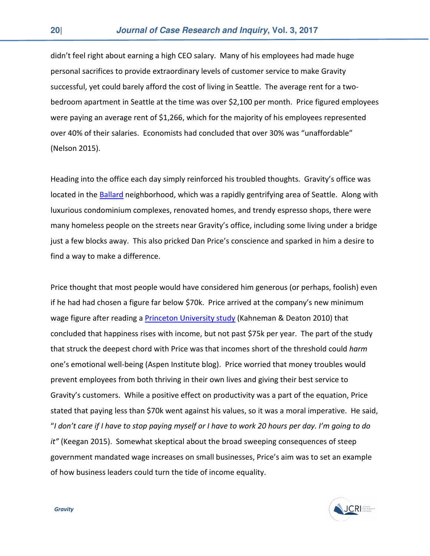didn't feel right about earning a high CEO salary. Many of his employees had made huge personal sacrifices to provide extraordinary levels of customer service to make Gravity successful, yet could barely afford the cost of living in Seattle. The average rent for a twobedroom apartment in Seattle at the time was over \$2,100 per month. Price figured employees were paying an average rent of \$1,266, which for the majority of his employees represented over 40% of their salaries. Economists had concluded that over 30% was "unaffordable" (Nelson 2015).

Heading into the office each day simply reinforced his troubled thoughts. Gravity's office was located in the Ballard neighborhood, which was a rapidly gentrifying area of Seattle. Along with luxurious condominium complexes, renovated homes, and trendy espresso shops, there were many homeless people on the streets near Gravity's office, including some living under a bridge just a few blocks away. This also pricked Dan Price's conscience and sparked in him a desire to find a way to make a difference.

Price thought that most people would have considered him generous (or perhaps, foolish) even if he had had chosen a figure far below \$70k. Price arrived at the company's new minimum wage figure after reading a Princeton University study (Kahneman & Deaton 2010) that concluded that happiness rises with income, but not past \$75k per year. The part of the study that struck the deepest chord with Price was that incomes short of the threshold could harm one's emotional well-being (Aspen Institute blog). Price worried that money troubles would prevent employees from both thriving in their own lives and giving their best service to Gravity's customers. While a positive effect on productivity was a part of the equation, Price stated that paying less than \$70k went against his values, so it was a moral imperative. He said, "I don't care if I have to stop paying myself or I have to work 20 hours per day. I'm going to do it" (Keegan 2015). Somewhat skeptical about the broad sweeping consequences of steep government mandated wage increases on small businesses, Price's aim was to set an example of how business leaders could turn the tide of income equality.

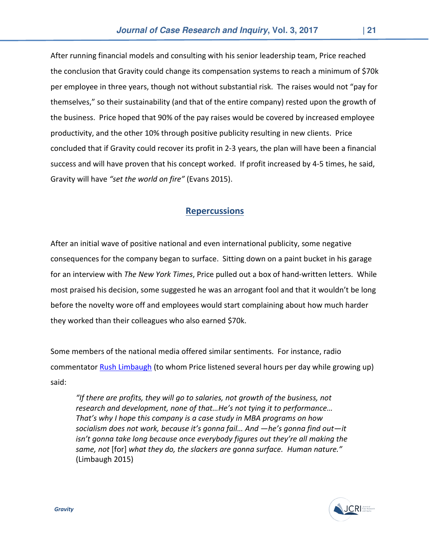After running financial models and consulting with his senior leadership team, Price reached the conclusion that Gravity could change its compensation systems to reach a minimum of \$70k per employee in three years, though not without substantial risk. The raises would not "pay for themselves," so their sustainability (and that of the entire company) rested upon the growth of the business. Price hoped that 90% of the pay raises would be covered by increased employee productivity, and the other 10% through positive publicity resulting in new clients. Price concluded that if Gravity could recover its profit in 2-3 years, the plan will have been a financial success and will have proven that his concept worked. If profit increased by 4-5 times, he said, Gravity will have "set the world on fire" (Evans 2015).

### **Repercussions**

After an initial wave of positive national and even international publicity, some negative consequences for the company began to surface. Sitting down on a paint bucket in his garage for an interview with The New York Times, Price pulled out a box of hand-written letters. While most praised his decision, some suggested he was an arrogant fool and that it wouldn't be long before the novelty wore off and employees would start complaining about how much harder they worked than their colleagues who also earned \$70k.

Some members of the national media offered similar sentiments. For instance, radio commentator **Rush Limbaugh** (to whom Price listened several hours per day while growing up) said:

"If there are profits, they will go to salaries, not growth of the business, not research and development, none of that…He's not tying it to performance… That's why I hope this company is a case study in MBA programs on how socialism does not work, because it's gonna fail… And —he's gonna find out—it isn't gonna take long because once everybody figures out they're all making the same, not [for] what they do, the slackers are gonna surface. Human nature." (Limbaugh 2015)

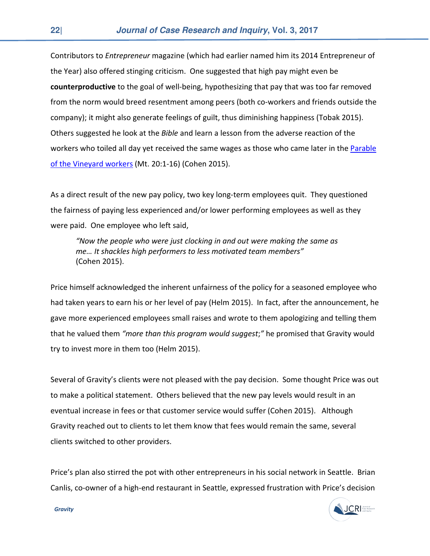Contributors to Entrepreneur magazine (which had earlier named him its 2014 Entrepreneur of the Year) also offered stinging criticism. One suggested that high pay might even be counterproductive to the goal of well-being, hypothesizing that pay that was too far removed from the norm would breed resentment among peers (both co-workers and friends outside the company); it might also generate feelings of guilt, thus diminishing happiness (Tobak 2015). Others suggested he look at the Bible and learn a lesson from the adverse reaction of the workers who toiled all day yet received the same wages as those who came later in the Parable of the Vineyard workers (Mt. 20:1-16) (Cohen 2015).

As a direct result of the new pay policy, two key long-term employees quit. They questioned the fairness of paying less experienced and/or lower performing employees as well as they were paid. One employee who left said,

"Now the people who were just clocking in and out were making the same as me… It shackles high performers to less motivated team members" (Cohen 2015).

Price himself acknowledged the inherent unfairness of the policy for a seasoned employee who had taken years to earn his or her level of pay (Helm 2015). In fact, after the announcement, he gave more experienced employees small raises and wrote to them apologizing and telling them that he valued them "more than this program would suggest;" he promised that Gravity would try to invest more in them too (Helm 2015).

Several of Gravity's clients were not pleased with the pay decision. Some thought Price was out to make a political statement. Others believed that the new pay levels would result in an eventual increase in fees or that customer service would suffer (Cohen 2015). Although Gravity reached out to clients to let them know that fees would remain the same, several clients switched to other providers.

Price's plan also stirred the pot with other entrepreneurs in his social network in Seattle. Brian Canlis, co-owner of a high-end restaurant in Seattle, expressed frustration with Price's decision

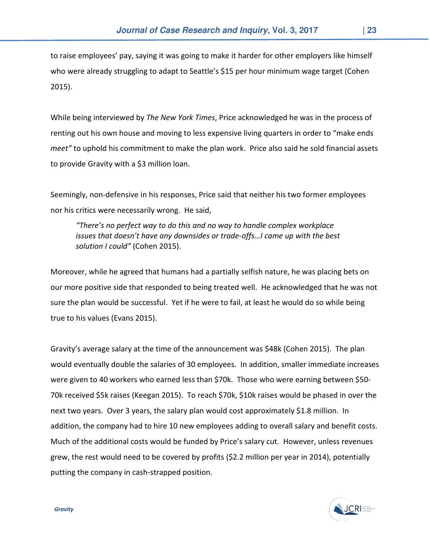to raise employees' pay, saying it was going to make it harder for other employers like himself who were already struggling to adapt to Seattle's \$15 per hour minimum wage target (Cohen 2015).

While being interviewed by The New York Times, Price acknowledged he was in the process of renting out his own house and moving to less expensive living quarters in order to "make ends meet" to uphold his commitment to make the plan work. Price also said he sold financial assets to provide Gravity with a \$3 million loan.

Seemingly, non-defensive in his responses, Price said that neither his two former employees nor his critics were necessarily wrong. He said,

"There's no perfect way to do this and no way to handle complex workplace issues that doesn't have any downsides or trade-offs…I came up with the best solution I could" (Cohen 2015).

Moreover, while he agreed that humans had a partially selfish nature, he was placing bets on our more positive side that responded to being treated well. He acknowledged that he was not sure the plan would be successful. Yet if he were to fail, at least he would do so while being true to his values (Evans 2015).

Gravity's average salary at the time of the announcement was \$48k (Cohen 2015). The plan would eventually double the salaries of 30 employees. In addition, smaller immediate increases were given to 40 workers who earned less than \$70k. Those who were earning between \$50- 70k received \$5k raises (Keegan 2015). To reach \$70k, \$10k raises would be phased in over the next two years. Over 3 years, the salary plan would cost approximately \$1.8 million. In addition, the company had to hire 10 new employees adding to overall salary and benefit costs. Much of the additional costs would be funded by Price's salary cut. However, unless revenues grew, the rest would need to be covered by profits (\$2.2 million per year in 2014), potentially putting the company in cash-strapped position.

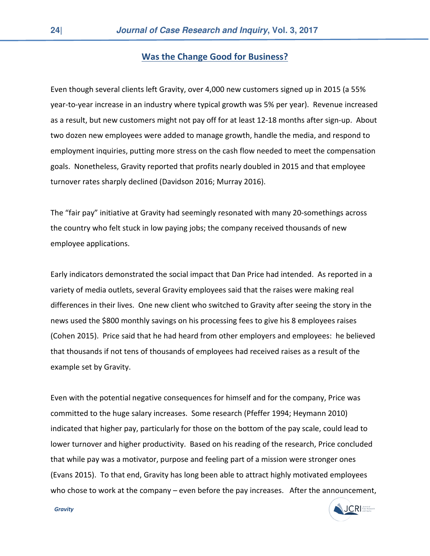#### Was the Change Good for Business?

Even though several clients left Gravity, over 4,000 new customers signed up in 2015 (a 55% year-to-year increase in an industry where typical growth was 5% per year). Revenue increased as a result, but new customers might not pay off for at least 12-18 months after sign-up. About two dozen new employees were added to manage growth, handle the media, and respond to employment inquiries, putting more stress on the cash flow needed to meet the compensation goals. Nonetheless, Gravity reported that profits nearly doubled in 2015 and that employee turnover rates sharply declined (Davidson 2016; Murray 2016).

The "fair pay" initiative at Gravity had seemingly resonated with many 20-somethings across the country who felt stuck in low paying jobs; the company received thousands of new employee applications.

Early indicators demonstrated the social impact that Dan Price had intended. As reported in a variety of media outlets, several Gravity employees said that the raises were making real differences in their lives. One new client who switched to Gravity after seeing the story in the news used the \$800 monthly savings on his processing fees to give his 8 employees raises (Cohen 2015). Price said that he had heard from other employers and employees: he believed that thousands if not tens of thousands of employees had received raises as a result of the example set by Gravity.

Even with the potential negative consequences for himself and for the company, Price was committed to the huge salary increases. Some research (Pfeffer 1994; Heymann 2010) indicated that higher pay, particularly for those on the bottom of the pay scale, could lead to lower turnover and higher productivity. Based on his reading of the research, Price concluded that while pay was a motivator, purpose and feeling part of a mission were stronger ones (Evans 2015). To that end, Gravity has long been able to attract highly motivated employees who chose to work at the company – even before the pay increases. After the announcement,

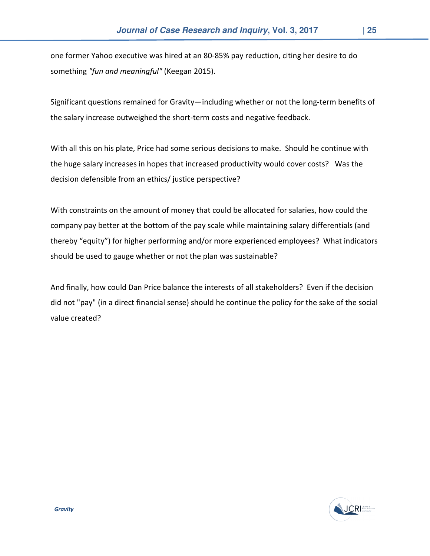one former Yahoo executive was hired at an 80-85% pay reduction, citing her desire to do something "fun and meaningful" (Keegan 2015).

Significant questions remained for Gravity—including whether or not the long-term benefits of the salary increase outweighed the short-term costs and negative feedback.

With all this on his plate, Price had some serious decisions to make. Should he continue with the huge salary increases in hopes that increased productivity would cover costs? Was the decision defensible from an ethics/ justice perspective?

With constraints on the amount of money that could be allocated for salaries, how could the company pay better at the bottom of the pay scale while maintaining salary differentials (and thereby "equity") for higher performing and/or more experienced employees? What indicators should be used to gauge whether or not the plan was sustainable?

And finally, how could Dan Price balance the interests of all stakeholders? Even if the decision did not "pay" (in a direct financial sense) should he continue the policy for the sake of the social value created?

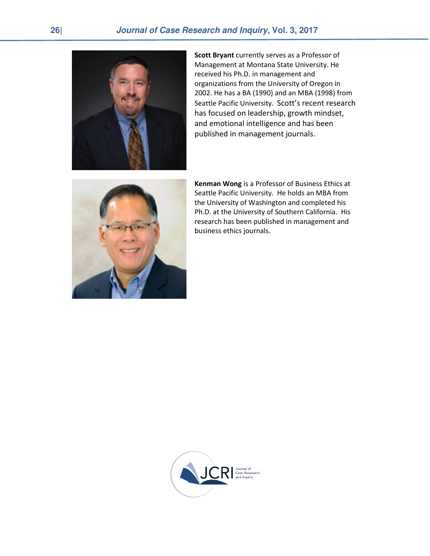

Scott Bryant currently serves as a Professor of Management at Montana State University. He received his Ph.D. in management and organizations from the University of Oregon in 2002. He has a BA (1990) and an MBA (1998) from Seattle Pacific University. Scott's recent research has focused on leadership, growth mindset, and emotional intelligence and has been published in management journals.



Kenman Wong is a Professor of Business Ethics at Seattle Pacific University. He holds an MBA from the University of Washington and completed his Ph.D. at the University of Southern California. His research has been published in management and business ethics journals.